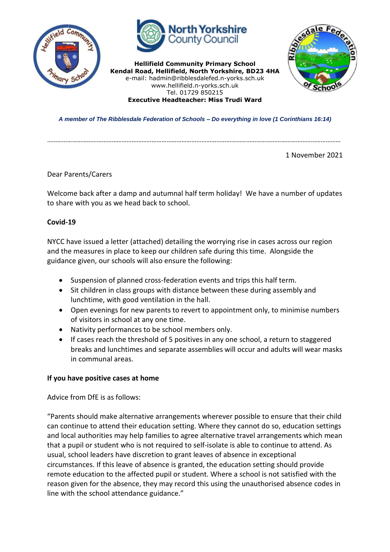



**Hellifield Community Primary School Kendal Road, Hellifield, North Yorkshire, BD23 4HA** e-mail: hadmin@ribblesdalefed.n-yorks.sch.uk www.hellifield.n-yorks.sch.uk Tel. 01729 850215 **Executive Headteacher: Miss Trudi Ward**



*A member of The Ribblesdale Federation of Schools – Do everything in love (1 Corinthians 16:14)*

……………………………………………………………………………………………………………………………………………………………

1 November 2021

Dear Parents/Carers

Welcome back after a damp and autumnal half term holiday! We have a number of updates to share with you as we head back to school.

# **Covid-19**

NYCC have issued a letter (attached) detailing the worrying rise in cases across our region and the measures in place to keep our children safe during this time. Alongside the guidance given, our schools will also ensure the following:

- Suspension of planned cross-federation events and trips this half term.
- Sit children in class groups with distance between these during assembly and lunchtime, with good ventilation in the hall.
- Open evenings for new parents to revert to appointment only, to minimise numbers of visitors in school at any one time.
- Nativity performances to be school members only.
- If cases reach the threshold of 5 positives in any one school, a return to staggered breaks and lunchtimes and separate assemblies will occur and adults will wear masks in communal areas.

## **If you have positive cases at home**

Advice from DfE is as follows:

"Parents should make alternative arrangements wherever possible to ensure that their child can continue to attend their education setting. Where they cannot do so, education settings and local authorities may help families to agree alternative travel arrangements which mean that a pupil or student who is not required to self-isolate is able to continue to attend. As usual, school leaders have discretion to grant leaves of absence in exceptional circumstances. If this leave of absence is granted, the education setting should provide remote education to the affected pupil or student. Where a school is not satisfied with the reason given for the absence, they may record this using the unauthorised absence codes in line with the school attendance guidance."